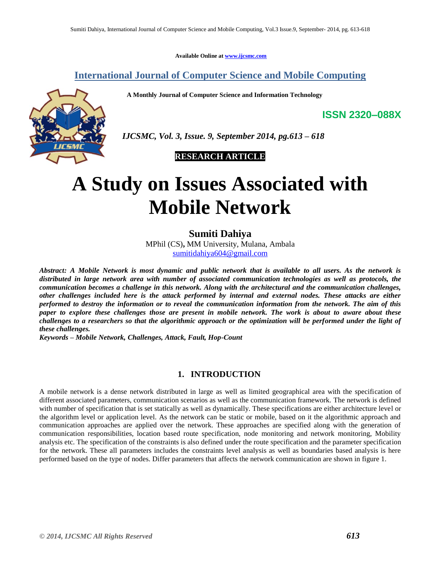**Available Online at [www.ijcsmc.com](http://www.ijcsmc.com/)**

# **International Journal of Computer Science and Mobile Computing**

 **A Monthly Journal of Computer Science and Information Technology**

**ISSN 2320–088X**



 *IJCSMC, Vol. 3, Issue. 9, September 2014, pg.613 – 618*

 **RESEARCH ARTICLE**

# **A Study on Issues Associated with Mobile Network**

**Sumiti Dahiya**

MPhil (CS)**,** MM University, Mulana, Ambala [sumitidahiya604@gmail.com](mailto:sumitidahiya604@gmail.com)

*Abstract: A Mobile Network is most dynamic and public network that is available to all users. As the network is distributed in large network area with number of associated communication technologies as well as protocols, the communication becomes a challenge in this network. Along with the architectural and the communication challenges, other challenges included here is the attack performed by internal and external nodes. These attacks are either performed to destroy the information or to reveal the communication information from the network. The aim of this paper to explore these challenges those are present in mobile network. The work is about to aware about these challenges to a researchers so that the algorithmic approach or the optimization will be performed under the light of these challenges.*

*Keywords – Mobile Network, Challenges, Attack, Fault, Hop-Count*

#### **1. INTRODUCTION**

A mobile network is a dense network distributed in large as well as limited geographical area with the specification of different associated parameters, communication scenarios as well as the communication framework. The network is defined with number of specification that is set statically as well as dynamically. These specifications are either architecture level or the algorithm level or application level. As the network can be static or mobile, based on it the algorithmic approach and communication approaches are applied over the network. These approaches are specified along with the generation of communication responsibilities, location based route specification, node monitoring and network monitoring, Mobility analysis etc. The specification of the constraints is also defined under the route specification and the parameter specification for the network. These all parameters includes the constraints level analysis as well as boundaries based analysis is here performed based on the type of nodes. Differ parameters that affects the network communication are shown in figure 1.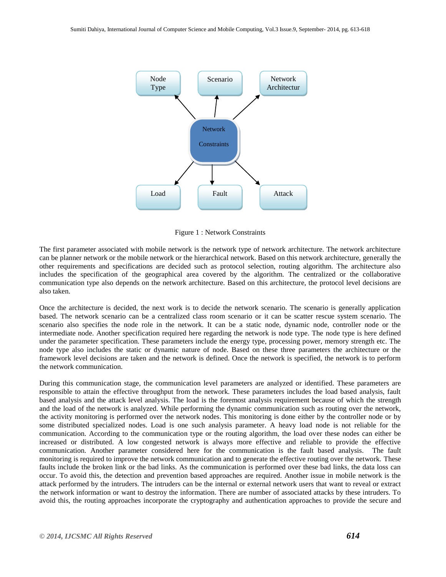

Figure 1 : Network Constraints

The first parameter associated with mobile network is the network type of network architecture. The network architecture can be planner network or the mobile network or the hierarchical network. Based on this network architecture, generally the other requirements and specifications are decided such as protocol selection, routing algorithm. The architecture also includes the specification of the geographical area covered by the algorithm. The centralized or the collaborative communication type also depends on the network architecture. Based on this architecture, the protocol level decisions are also taken.

Once the architecture is decided, the next work is to decide the network scenario. The scenario is generally application based. The network scenario can be a centralized class room scenario or it can be scatter rescue system scenario. The scenario also specifies the node role in the network. It can be a static node, dynamic node, controller node or the intermediate node. Another specification required here regarding the network is node type. The node type is here defined under the parameter specification. These parameters include the energy type, processing power, memory strength etc. The node type also includes the static or dynamic nature of node. Based on these three parameters the architecture or the framework level decisions are taken and the network is defined. Once the network is specified, the network is to perform the network communication.

During this communication stage, the communication level parameters are analyzed or identified. These parameters are responsible to attain the effective throughput from the network. These parameters includes the load based analysis, fault based analysis and the attack level analysis. The load is the foremost analysis requirement because of which the strength and the load of the network is analyzed. While performing the dynamic communication such as routing over the network, the activity monitoring is performed over the network nodes. This monitoring is done either by the controller node or by some distributed specialized nodes. Load is one such analysis parameter. A heavy load node is not reliable for the communication. According to the communication type or the routing algorithm, the load over these nodes can either be increased or distributed. A low congested network is always more effective and reliable to provide the effective communication. Another parameter considered here for the communication is the fault based analysis. The fault monitoring is required to improve the network communication and to generate the effective routing over the network. These faults include the broken link or the bad links. As the communication is performed over these bad links, the data loss can occur. To avoid this, the detection and prevention based approaches are required. Another issue in mobile network is the attack performed by the intruders. The intruders can be the internal or external network users that want to reveal or extract the network information or want to destroy the information. There are number of associated attacks by these intruders. To avoid this, the routing approaches incorporate the cryptography and authentication approaches to provide the secure and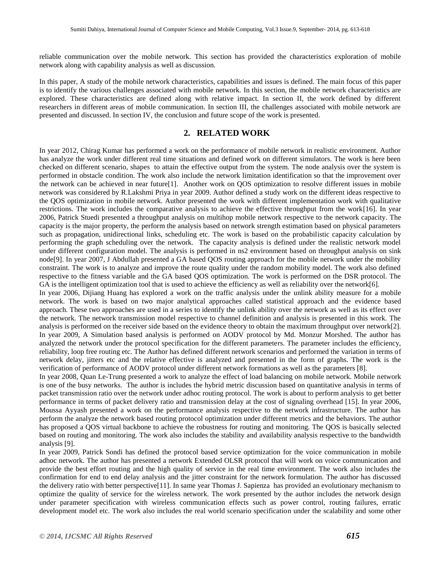reliable communication over the mobile network. This section has provided the characteristics exploration of mobile network along with capability analysis as well as discussion.

In this paper, A study of the mobile network characteristics, capabilities and issues is defined. The main focus of this paper is to identify the various challenges associated with mobile network. In this section, the mobile network characteristics are explored. These characteristics are defined along with relative impact. In section II, the work defined by different researchers in different areas of mobile communication. In section III, the challenges associated with mobile network are presented and discussed. In section IV, the conclusion and future scope of the work is presented.

## **2. RELATED WORK**

In year 2012, Chirag Kumar has performed a work on the performance of mobile network in realistic environment. Author has analyze the work under different real time situations and defined work on different simulators. The work is here been checked on different scenario, shapes to attain the effective output from the system. The node analysis over the system is performed in obstacle condition. The work also include the network limitation identification so that the improvement over the network can be achieved in near future[1]. Another work on QOS optimization to resolve different issues in mobile network was considered by R.Lakshmi Priya in year 2009. Author defined a study work on the different ideas respective to the QOS optimization in mobile network. Author presented the work with different implementation work with qualitative restrictions. The work includes the comparative analysis to achieve the effective throughput from the work[16]. In year 2006, Patrick Stuedi presented a throughput analysis on multihop mobile network respective to the network capacity. The capacity is the major property, the perform the analysis based on network strength estimation based on physical parameters such as propagation, unidirectional links, scheduling etc. The work is based on the probabilistic capacity calculation by performing the graph scheduling over the network. The capacity analysis is defined under the realistic network model under different configuration model. The analysis is performed in ns2 environment based on throughput analysis on sink node[9]. In year 2007, J Abdullah presented a GA based QOS routing approach for the mobile network under the mobility constraint. The work is to analyze and improve the route quality under the random mobility model. The work also defined respective to the fitness variable and the GA based QOS optimization. The work is performed on the DSR protocol. The GA is the intelligent optimization tool that is used to achieve the efficiency as well as reliability over the network[6].

In year 2006, Dijiang Huang has explored a work on the traffic analysis under the unlink ability measure for a mobile network. The work is based on two major analytical approaches called statistical approach and the evidence based approach. These two approaches are used in a series to identify the unlink ability over the network as well as its effect over the network. The network transmission model respective to channel definition and analysis is presented in this work. The analysis is performed on the receiver side based on the evidence theory to obtain the maximum throughput over network[2]. In year 2009, A Simulation based analysis is performed on AODV protocol by Md. Monzur Morshed. The author has analyzed the network under the protocol specification for the different parameters. The parameter includes the efficiency, reliability, loop free routing etc. The Author has defined different network scenarios and performed the variation in terms of network delay, jitters etc and the relative effective is analyzed and presented in the form of graphs. The work is the verification of performance of AODV protocol under different network formations as well as the parameters [8].

In year 2008, Quan Le-Trung presented a work to analyze the effect of load balancing on mobile network. Mobile network is one of the busy networks. The author is includes the hybrid metric discussion based on quantitative analysis in terms of packet transmission ratio over the network under adhoc routing protocol. The work is about to perform analysis to get better performance in terms of packet delivery ratio and transmission delay at the cost of signaling overhead [15]. In year 2006, Moussa Ayyash presented a work on the performance analysis respective to the network infrastructure. The author has perform the analyze the network based routing protocol optimization under different metrics and the behaviors. The author has proposed a QOS virtual backbone to achieve the robustness for routing and monitoring. The QOS is basically selected based on routing and monitoring. The work also includes the stability and availability analysis respective to the bandwidth analysis [9].

In year 2009, Patrick Sondi has defined the protocol based service optimization for the voice communication in mobile adhoc network. The author has presented a network Extended OLSR protocol that will work on voice communication and provide the best effort routing and the high quality of service in the real time environment. The work also includes the confirmation for end to end delay analysis and the jitter constraint for the network formulation. The author has discussed the delivery ratio with better perspective[11]. In same year Thomas J. Sapienza has provided an evolutionary mechanism to optimize the quality of service for the wireless network. The work presented by the author includes the network design under parameter specification with wireless communication effects such as power control, routing failures, erratic development model etc. The work also includes the real world scenario specification under the scalability and some other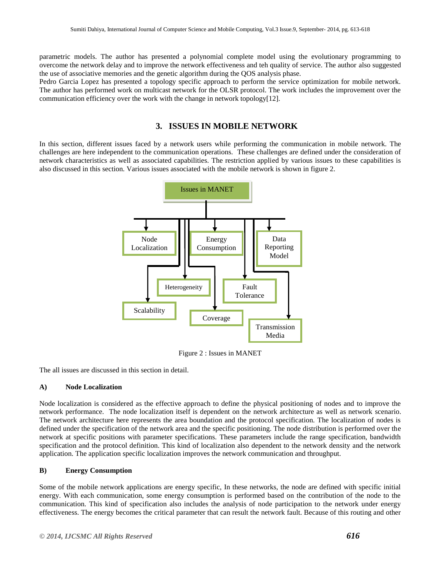parametric models. The author has presented a polynomial complete model using the evolutionary programming to overcome the network delay and to improve the network effectiveness and teh quality of service. The author also suggested the use of associative memories and the genetic algorithm during the QOS analysis phase.

Pedro Garcia Lopez has presented a topology specific approach to perform the service optimization for mobile network. The author has performed work on multicast network for the OLSR protocol. The work includes the improvement over the communication efficiency over the work with the change in network topology[12].

# **3. ISSUES IN MOBILE NETWORK**

In this section, different issues faced by a network users while performing the communication in mobile network. The challenges are here independent to the communication operations. These challenges are defined under the consideration of network characteristics as well as associated capabilities. The restriction applied by various issues to these capabilities is also discussed in this section. Various issues associated with the mobile network is shown in figure 2.



Figure 2 : Issues in MANET

The all issues are discussed in this section in detail.

#### **A) Node Localization**

Node localization is considered as the effective approach to define the physical positioning of nodes and to improve the network performance. The node localization itself is dependent on the network architecture as well as network scenario. The network architecture here represents the area boundation and the protocol specification. The localization of nodes is defined under the specification of the network area and the specific positioning. The node distribution is performed over the network at specific positions with parameter specifications. These parameters include the range specification, bandwidth specification and the protocol definition. This kind of localization also dependent to the network density and the network application. The application specific localization improves the network communication and throughput.

#### **B) Energy Consumption**

Some of the mobile network applications are energy specific, In these networks, the node are defined with specific initial energy. With each communication, some energy consumption is performed based on the contribution of the node to the communication. This kind of specification also includes the analysis of node participation to the network under energy effectiveness. The energy becomes the critical parameter that can result the network fault. Because of this routing and other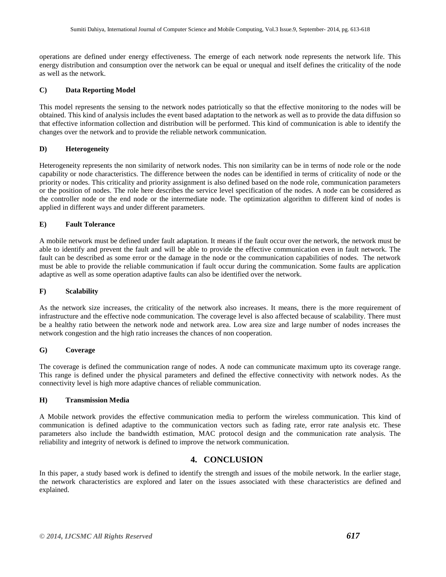operations are defined under energy effectiveness. The emerge of each network node represents the network life. This energy distribution and consumption over the network can be equal or unequal and itself defines the criticality of the node as well as the network.

#### **C) Data Reporting Model**

This model represents the sensing to the network nodes patriotically so that the effective monitoring to the nodes will be obtained. This kind of analysis includes the event based adaptation to the network as well as to provide the data diffusion so that effective information collection and distribution will be performed. This kind of communication is able to identify the changes over the network and to provide the reliable network communication.

#### **D) Heterogeneity**

Heterogeneity represents the non similarity of network nodes. This non similarity can be in terms of node role or the node capability or node characteristics. The difference between the nodes can be identified in terms of criticality of node or the priority or nodes. This criticality and priority assignment is also defined based on the node role, communication parameters or the position of nodes. The role here describes the service level specification of the nodes. A node can be considered as the controller node or the end node or the intermediate node. The optimization algorithm to different kind of nodes is applied in different ways and under different parameters.

#### **E) Fault Tolerance**

A mobile network must be defined under fault adaptation. It means if the fault occur over the network, the network must be able to identify and prevent the fault and will be able to provide the effective communication even in fault network. The fault can be described as some error or the damage in the node or the communication capabilities of nodes. The network must be able to provide the reliable communication if fault occur during the communication. Some faults are application adaptive as well as some operation adaptive faults can also be identified over the network.

#### **F) Scalability**

As the network size increases, the criticality of the network also increases. It means, there is the more requirement of infrastructure and the effective node communication. The coverage level is also affected because of scalability. There must be a healthy ratio between the network node and network area. Low area size and large number of nodes increases the network congestion and the high ratio increases the chances of non cooperation.

#### **G) Coverage**

The coverage is defined the communication range of nodes. A node can communicate maximum upto its coverage range. This range is defined under the physical parameters and defined the effective connectivity with network nodes. As the connectivity level is high more adaptive chances of reliable communication.

#### **H) Transmission Media**

A Mobile network provides the effective communication media to perform the wireless communication. This kind of communication is defined adaptive to the communication vectors such as fading rate, error rate analysis etc. These parameters also include the bandwidth estimation, MAC protocol design and the communication rate analysis. The reliability and integrity of network is defined to improve the network communication.

## **4. CONCLUSION**

In this paper, a study based work is defined to identify the strength and issues of the mobile network. In the earlier stage, the network characteristics are explored and later on the issues associated with these characteristics are defined and explained.